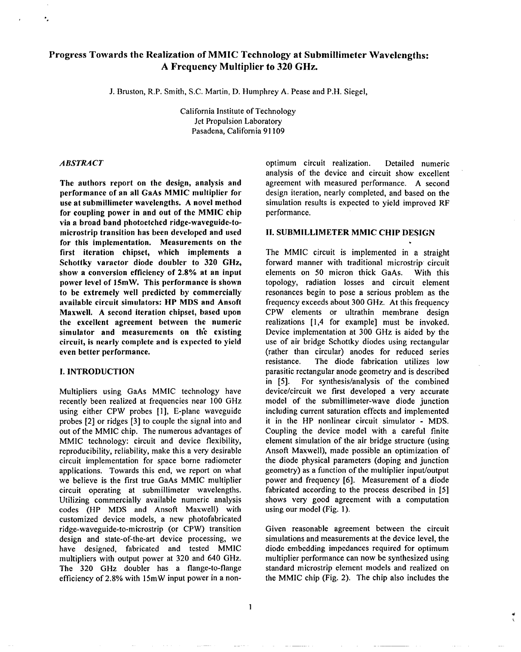# <code>Progress</code> <code>Towards</code> the <code>Realization</code> of <code>MMIC</code> <code>Technology</code> at <code>Submillimeter</code> <code>Wavelength</code> **A Frequency Multiplier to 320 GHz.**

J. Bruston, R.P. Smith, S.C. Martin, D. Humphrey A. Pease and P.H. Siegel,

California Institute of Technology Jet Propulsion Laboratory Pasadena, California 91109

 $\mathbf{I}$ 

#### *ABSTRACT*

",

**The authors report on the design, analysis and performance of an all GaAs MMIC multiplier for use at submillimeter wavelengths. A novel method for coupling power in and out of the MMIC chip via a broad band photoetched ridge-waveguide-tomicrostrip transition has been developed and used for this implementation. Measurements on the first iteration chipset, which implements a Schottky varactor diode doubler to 320 GHz, show a conversion efficiency of 2.80/0 at an input power level of 15mW.** This performance is **shown to be extremely well predicted by commercially available circuit simulators: HP MDS and Ansoft Maxwell. A second iteration chipset, based upon the excellent agreement between the numeric simulator and measurements on th'e existing circuit, is nearly complete and is expected to yield even better performance,**

### **I.** INTRODUCTION

Multipliers using GaAs MMIC technology have recently been realized at frequencies near 100 GHz using either CPW probes [1], E-plane waveguide probes [2] or ridges [3] to couple the signal into and out of the MMIC chip. The numerous advantages of MMIC technology: circuit and device flexibility, reproducibility, reliability, make this a very desirable circuit implementation for space borne radiometer applications. Towards this end, we report on what we believe is the first true GaAs MMIC multiplier circuit operating at submillimeter wavelengths. Utilizing commercially available numeric analysis codes (HP MDS and Ansoft Maxwell) with customized device models, a new photofabricated ridge-waveguide-to-m icrostrip (or CPW) transition design and state-of-the-art device processing, we have designed, fabricated and tested MMIC multipliers with output **power** at 320 and 640 GHz. The 320 GHz doubler has a flange-to-flange efficiency of 2.8% with 15mW input power in a nonoptimum circuit realization. Detailed numeric analysis of the device and circuit show excellent agreement with measured performance. A second design iteration, nearly completed, and based on the simulation results is expected to yield improved RF performance.

**.**

#### **11. SUBMILLIMETER MMIC CHIP DESIGN**

The MMIC circuit is implemented in a straight forward manner with traditional microstrip circuit elements on 50 micron thick GaAs, With this topology, radiation losses and circuit element resonances begin to pose a serious problem as the frequency exceeds about 300 GHz. At this frequency CPW elements or ultrathin membrane design realizations [1,4 for example] must be invoked. Device implementation at 300 GHz is aided by the use of air bridge Schottky diodes using rectangular (rather than circular) anodes for reduced series resistance. The diode fabrication utilizes low parasitic rectangular anode geometry and is described in **[5].** For synthesis/analysis of the combined device/circuit we first developed a very accurate model of the submillimeter-wave diode junction including current saturation effects and implemented it in the HP nonlinear circuit simulator - MDS. Coupling the device model with a careful finite element simulation of the air bridge structure (using Ansoft Maxwell), made possible an optimization of the diode physical parameters (doping and junction geometry) as a function of the multiplier input/output power and frequency [6]. Measurement of a diode fabricated according to the process described in [5] shows very good agreement with a computation using our model (Fig. 1).

Given reasonable agreement between the circuit simulations and measurements at the device level, the diode embedding impedances required for optimum multiplier performance can now be synthesized using standard microstrip element models and realized on the MMIC chip (Fig. 2). The chip also includes the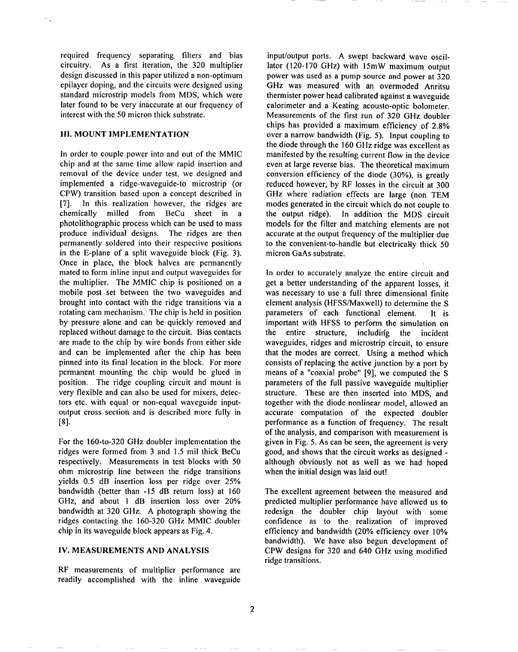required frequency separating filters and bias circuitry. As a first iteration, the 320 multiplier design discussed in this paper utilized a non-optimum epilayer doping, and the circuits were designed using standard microstrip models from MDS, which were later found to be very inaccurate at our frequency of interest with the 50 micron thick substrate.

### **III. MOUNT IMPLEMENTATION**

In order to couple power into and out of the MMIC chip and at the same time allow rapid insertion and removal of the device under test, we designed and implemented a ridge-waveguide-to microstrip (or CPW) transition based upon a concept described in [7]. In this realization however, the ridges are chemically milled from BeCu sheet in a photolithographic process which can be used to mass produce individual designs. The ridges are then permanently soldered into their respective positions in the E-plane of a split waveguide block (Fig. 3). Once in place, the block halves are permanently mated to form inline input and output waveguides for the multiplier. The MMIC chip is positioned on a mobile post set between the two waveguides and brought into contact with the ridge transitions via a rotating cam mechanism. The chip is held in position by pressure alone and can be quickly removed and replaced without damage to the circuit. Bias contacts are made to the chip by wire bonds from either side and can be implemented after the chip has been pinned into its final location in the block. For more permanent mounting the chip would be glued in position, The ridge coupling circuit and mount is very flexible and can also be used for mixers, detectors etc. with equal or non-equal waveguide inputoutput cross section and is described more fully in [8].

For the 160-to-320 GHz doubler implementation the ridges were formed from 3 and 1.5 mil thick BeCu respectively. Measurements in test blocks with 50 ohm microstrip line between the ridge transitions yields 0.5 dB insertion loss per ridge over 25% bandwidth (better than -15 dB return loss) at 160 GHz, and about 1 dB insertion loss over 20% bandwidth at 320 GHz. A photograph showing the ridges contacting the 160-320 GHz MMIC doubler chip in its waveguide block appears as Fig. 4.

## IV. MEASUREMENTS AND ANALYSIS

RF measurements of multiplier performance are readily accomplished with the inline waveguide

input/output ports. A swept backward wave oscillator (120-170 GHz) with 15mW maximum output power was used as a pump source and power at 320 GHz was measured with an overmoded Anritsu thermister power head calibrated against a waveguide calorimeter and a Keating acousto-optic bolometer. Measurements of the first run of 320 GHz doubler chips has provided a maximum efficiency of 2,8% over a narrow bandwidth (Fig. 5). Input coupling to the diode through the 160 GHz ridge was excellent as manifested by the resulting current flow in the device even at large reverse bias. The theoretical maximum conversion efficiency of the diode (30%), is greatly reduced however, by RF losses in the circuit at 300 GHz where radiation effects are large (non TEM modes generated in the circuit which do not couple to the output ridge). In addition the MDS circuit models for the filter and matching elements are not accurate at the output frequency of the multiplier due to the convenient-to-handle but electrically thick 50 micron GaAs substrate.

In order to accurately analyze the entire circuit and get a better understanding of the apparent losses, it was necessary to use a full three dimensional finite element analysis (HFSS/Maxwell) to determine the S parameters of each functional element. It is important with HFSS to perform the simulation on the entire structure, including the incident waveguides, ridges and microstrip circuit, to ensure that the modes are correct. Using a method which consists of replacing the active junction by a port by means of a "coaxial probe" [9], we computed the S parameters of the full passive waveguide multiplier structure. These are then inserted into MDS, and together with the diode nonlinear model, allowed an accurate computation of the expected doubler performance as a function of frequency. The result of the analysis, and comparison with measurement is given in Fig. 5. As can be seen, the agreement is very good, and shows that the circuit works as designed although obviously not as well as we had hoped when the initial design was laid out!

The excellent agreement between the measured and predicted multiplier performance have allowed us to redesign the doubler chip layout with some confidence as to the realization of improved efficiency and bandwidth (20% efficiency over 10% bandwidth). We have also begun development of CPW designs for 320 and 640 GHz using modified ridge transitions.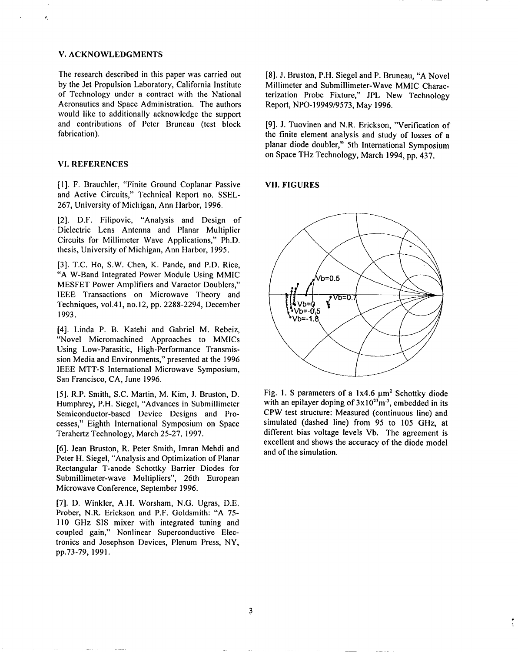### V. ACKNOWLEDGMENTS

 $\bullet$ 

The research described in this paper was carried out by the Jet Propulsion Laboratory, California Institute of Technology under a contract with the National Aeronautics and Space Administration. The authors would like to additionally acknowledge the support and contributions of Peter Bruneau (test block fabrication).

# VI. REFERENCES

[1]. F. Brauchler, "Finite Ground Coplanar Passive and Active Circuits," Technical Report no. SSEL-267, University of Michigan, Ann Harbor, 1996.

[2]. D.F. Filipovic, "Analysis and Design of Dielectric Lens Antenna and Planar Multiplier Circuits for Millimeter Wave Applications," Ph.D. thesis, University of Michigan, Ann Harbor, 1995.

[3]. T.C. Ho, S.W. Chen, K. Pande, and P.D. Rice, "A W-Band Integrated Power Module Using MMIC MESFET Power Amplifiers and Varactor Doublers," IEEE Transactions on Microwave Theory and Techniques, vol. 41, no. 12, pp. 2288-2294, December 1993.

[4]. Linda P. B. Katehi and Gabriel M. Rebeiz, "Novel Micromachined Approaches to MMICS Using Low-Parasitic, High-Performance Transmission Media and Environments," presented at the 1996 IEEE MTT-S International Microwave Symposium, San Francisco, CA, June 1996.

[5]. R.P. Smith, S.C. Martin, M. Kim, J. Bruston, D. Humphrey, P.H. Siegel, "Advances in Submillimeter Semiconductor-based Device Designs and Processes," Eighth International Symposium on Space Terahertz Technology, March 25-27, 1997.

[6]. Jean Bruston, R, Peter Smith, ]mran Mehdi and Peter H. Siegel, "Analysis and Optimization of Planar Rectangular T-anode Schottky Barrier Diodes for Submillimeter-wave Multipliers", 26th European Microwave Conference, September 1996.

[7]. D. Winkler, A.H. Worsham, N.G. Ugras, D.E, Prober, N.R. Erickson and P.F. Goldsmith: "A 75- 110 GHz S1S mixer with integrated tuning and coupled gain," Nonlinear Superconductive Electronics and Josephson Devices, Plenum Press, NY, pp.73-79, 1991.

[8]. J. Bruston, P.H. Siegel and P. Bruneau, "A Novel Millimeter and Submillimeter-Wave MMIC Characterization Probe Fixture," JPL New **Technology** Report, NPO-I 9949/9573, May 1996.

[9]. J. Tuovinen and N.R. Erickson, "Verification of the finite element analysis and study of losses of a planar diode doubler," 5th International Symposium on Space THz Technology, March 1994, pp. 437.

#### **VII.** FIGURES



Fig. 1. S parameters of a  $1x4.6 \mu m^2$  Schottky diode with an epilayer doping of  $3x10^{23}$ m<sup>-3</sup>, embedded in its CPW test structure: Measured (continuous line) and simulated (dashed line) from 95 to 105 GHz, at different bias voltage levels Vb. The agreement is excellent and shows the accuracy of the diode model and of the simulation.